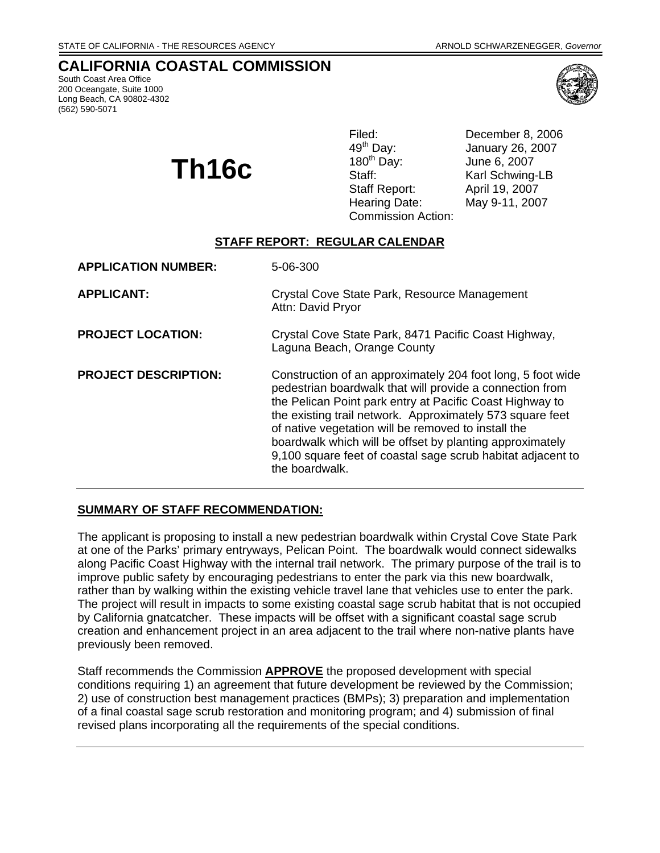South Coast Area Office 200 Oceangate, Suite 1000 Long Beach, CA 90802-4302 (562) 590-5071



 $\prod_{\text{M}}$ **16C** Staff: Staff: Hearing Date: May 9-11, 2007 Commission Action:

Filed: December 8, 2006<br>49<sup>th</sup> Day: January 26, 2007 49<sup>th</sup> Day: January 26, 2007<br>180<sup>th</sup> Day: June 6, 2007 Karl Schwing-LB April 19, 2007

## **STAFF REPORT: REGULAR CALENDAR**

| <b>APPLICATION NUMBER:</b>  | 5-06-300                                                                                                                                                                                                                                                                                                                                                                                                                                             |
|-----------------------------|------------------------------------------------------------------------------------------------------------------------------------------------------------------------------------------------------------------------------------------------------------------------------------------------------------------------------------------------------------------------------------------------------------------------------------------------------|
| <b>APPLICANT:</b>           | Crystal Cove State Park, Resource Management<br>Attn: David Pryor                                                                                                                                                                                                                                                                                                                                                                                    |
| <b>PROJECT LOCATION:</b>    | Crystal Cove State Park, 8471 Pacific Coast Highway,<br>Laguna Beach, Orange County                                                                                                                                                                                                                                                                                                                                                                  |
| <b>PROJECT DESCRIPTION:</b> | Construction of an approximately 204 foot long, 5 foot wide<br>pedestrian boardwalk that will provide a connection from<br>the Pelican Point park entry at Pacific Coast Highway to<br>the existing trail network. Approximately 573 square feet<br>of native vegetation will be removed to install the<br>boardwalk which will be offset by planting approximately<br>9,100 square feet of coastal sage scrub habitat adjacent to<br>the boardwalk. |

# **SUMMARY OF STAFF RECOMMENDATION:**

The applicant is proposing to install a new pedestrian boardwalk within Crystal Cove State Park at one of the Parks' primary entryways, Pelican Point. The boardwalk would connect sidewalks along Pacific Coast Highway with the internal trail network. The primary purpose of the trail is to improve public safety by encouraging pedestrians to enter the park via this new boardwalk, rather than by walking within the existing vehicle travel lane that vehicles use to enter the park. The project will result in impacts to some existing coastal sage scrub habitat that is not occupied by California gnatcatcher. These impacts will be offset with a significant coastal sage scrub creation and enhancement project in an area adjacent to the trail where non-native plants have previously been removed.

Staff recommends the Commission **APPROVE** the proposed development with special conditions requiring 1) an agreement that future development be reviewed by the Commission; 2) use of construction best management practices (BMPs); 3) preparation and implementation of a final coastal sage scrub restoration and monitoring program; and 4) submission of final revised plans incorporating all the requirements of the special conditions.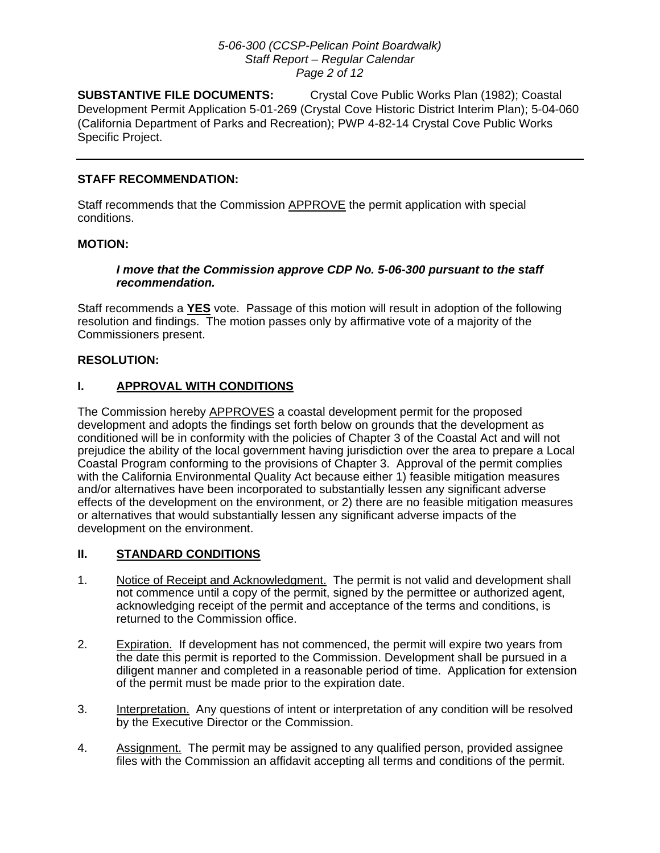#### *5-06-300 (CCSP-Pelican Point Boardwalk) Staff Report – Regular Calendar Page 2 of 12*

**SUBSTANTIVE FILE DOCUMENTS:** Crystal Cove Public Works Plan (1982); Coastal Development Permit Application 5-01-269 (Crystal Cove Historic District Interim Plan); 5-04-060 (California Department of Parks and Recreation); PWP 4-82-14 Crystal Cove Public Works Specific Project.

## **STAFF RECOMMENDATION:**

Staff recommends that the Commission APPROVE the permit application with special conditions.

## **MOTION:**

## *I move that the Commission approve CDP No. 5-06-300 pursuant to the staff recommendation.*

Staff recommends a **YES** vote. Passage of this motion will result in adoption of the following resolution and findings. The motion passes only by affirmative vote of a majority of the Commissioners present.

## **RESOLUTION:**

# **I. APPROVAL WITH CONDITIONS**

The Commission hereby APPROVES a coastal development permit for the proposed development and adopts the findings set forth below on grounds that the development as conditioned will be in conformity with the policies of Chapter 3 of the Coastal Act and will not prejudice the ability of the local government having jurisdiction over the area to prepare a Local Coastal Program conforming to the provisions of Chapter 3. Approval of the permit complies with the California Environmental Quality Act because either 1) feasible mitigation measures and/or alternatives have been incorporated to substantially lessen any significant adverse effects of the development on the environment, or 2) there are no feasible mitigation measures or alternatives that would substantially lessen any significant adverse impacts of the development on the environment.

#### **II. STANDARD CONDITIONS**

- 1. Notice of Receipt and Acknowledgment. The permit is not valid and development shall not commence until a copy of the permit, signed by the permittee or authorized agent, acknowledging receipt of the permit and acceptance of the terms and conditions, is returned to the Commission office.
- 2. Expiration. If development has not commenced, the permit will expire two years from the date this permit is reported to the Commission. Development shall be pursued in a diligent manner and completed in a reasonable period of time. Application for extension of the permit must be made prior to the expiration date.
- 3. Interpretation. Any questions of intent or interpretation of any condition will be resolved by the Executive Director or the Commission.
- 4. Assignment. The permit may be assigned to any qualified person, provided assignee files with the Commission an affidavit accepting all terms and conditions of the permit.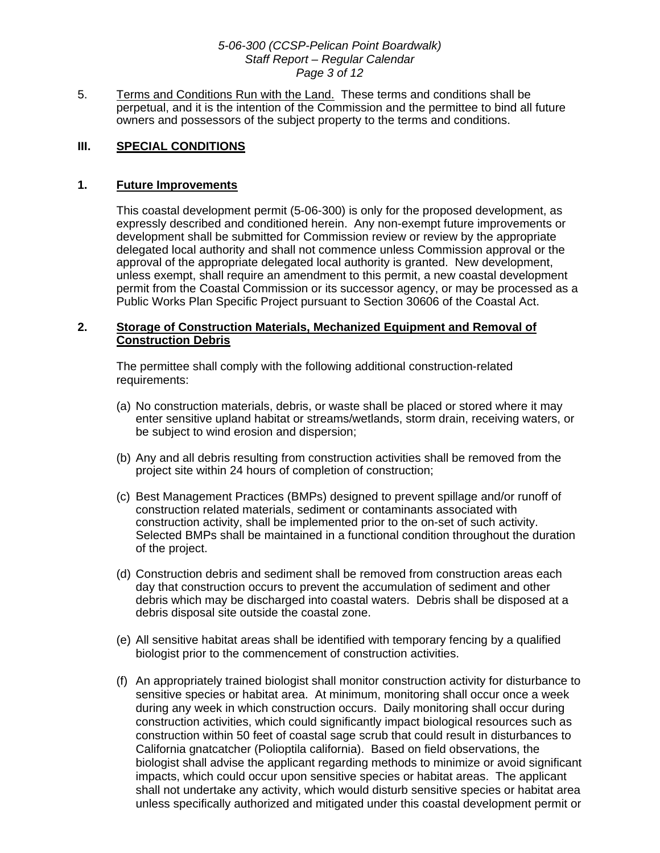#### *5-06-300 (CCSP-Pelican Point Boardwalk) Staff Report – Regular Calendar Page 3 of 12*

5. Terms and Conditions Run with the Land. These terms and conditions shall be perpetual, and it is the intention of the Commission and the permittee to bind all future owners and possessors of the subject property to the terms and conditions.

## **III. SPECIAL CONDITIONS**

#### **1. Future Improvements**

<span id="page-2-1"></span>This coastal development permit (5-06-300) is only for the proposed development, as expressly described and conditioned herein. Any non-exempt future improvements or development shall be submitted for Commission review or review by the appropriate delegated local authority and shall not commence unless Commission approval or the approval of the appropriate delegated local authority is granted. New development, unless exempt, shall require an amendment to this permit, a new coastal development permit from the Coastal Commission or its successor agency, or may be processed as a Public Works Plan Specific Project pursuant to Section 30606 of the Coastal Act.

#### <span id="page-2-0"></span>**2. Storage of Construction Materials, Mechanized Equipment and Removal of Construction Debris**

The permittee shall comply with the following additional construction-related requirements:

- (a) No construction materials, debris, or waste shall be placed or stored where it may enter sensitive upland habitat or streams/wetlands, storm drain, receiving waters, or be subject to wind erosion and dispersion;
- (b) Any and all debris resulting from construction activities shall be removed from the project site within 24 hours of completion of construction;
- (c) Best Management Practices (BMPs) designed to prevent spillage and/or runoff of construction related materials, sediment or contaminants associated with construction activity, shall be implemented prior to the on-set of such activity. Selected BMPs shall be maintained in a functional condition throughout the duration of the project.
- (d) Construction debris and sediment shall be removed from construction areas each day that construction occurs to prevent the accumulation of sediment and other debris which may be discharged into coastal waters. Debris shall be disposed at a debris disposal site outside the coastal zone.
- (e) All sensitive habitat areas shall be identified with temporary fencing by a qualified biologist prior to the commencement of construction activities.
- (f) An appropriately trained biologist shall monitor construction activity for disturbance to sensitive species or habitat area. At minimum, monitoring shall occur once a week during any week in which construction occurs. Daily monitoring shall occur during construction activities, which could significantly impact biological resources such as construction within 50 feet of coastal sage scrub that could result in disturbances to California gnatcatcher (Polioptila california). Based on field observations, the biologist shall advise the applicant regarding methods to minimize or avoid significant impacts, which could occur upon sensitive species or habitat areas. The applicant shall not undertake any activity, which would disturb sensitive species or habitat area unless specifically authorized and mitigated under this coastal development permit or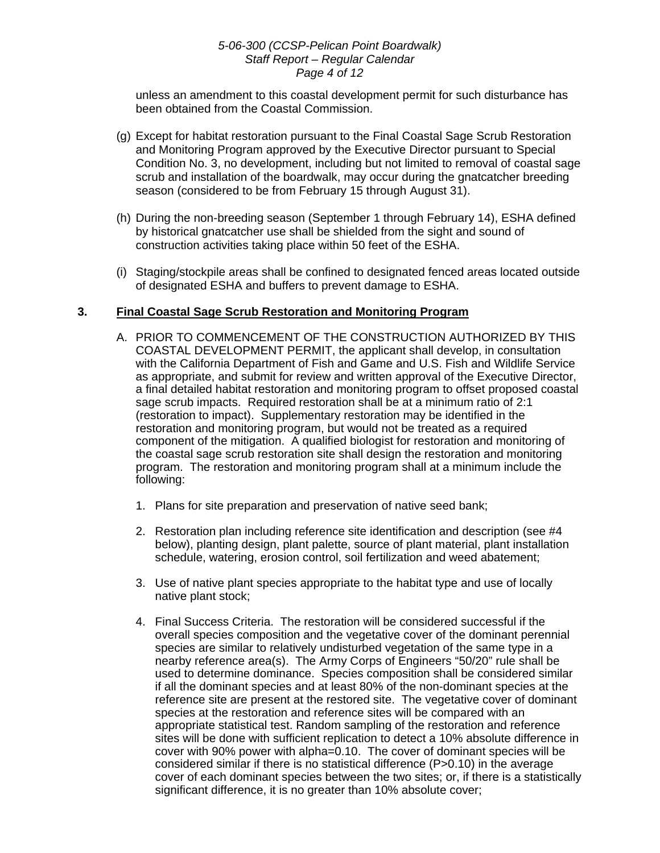#### *5-06-300 (CCSP-Pelican Point Boardwalk) Staff Report – Regular Calendar Page 4 of 12*

unless an amendment to this coastal development permit for such disturbance has been obtained from the Coastal Commission.

- (g) Except for habitat restoration pursuant to the Final Coastal Sage Scrub Restoration and Monitoring Program approved by the Executive Director pursuant to Special Condition No. 3, no development, including but not limited to removal of coastal sage scrub and installation of the boardwalk, may occur during the gnatcatcher breeding season (considered to be from February 15 through August 31).
- (h) During the non-breeding season (September 1 through February 14), ESHA defined by historical gnatcatcher use shall be shielded from the sight and sound of construction activities taking place within 50 feet of the ESHA.
- (i) Staging/stockpile areas shall be confined to designated fenced areas located outside of designated ESHA and buffers to prevent damage to ESHA.

# **3. Final Coastal Sage Scrub Restoration and Monitoring Program**

- <span id="page-3-0"></span>A. PRIOR TO COMMENCEMENT OF THE CONSTRUCTION AUTHORIZED BY THIS COASTAL DEVELOPMENT PERMIT, the applicant shall develop, in consultation with the California Department of Fish and Game and U.S. Fish and Wildlife Service as appropriate, and submit for review and written approval of the Executive Director, a final detailed habitat restoration and monitoring program to offset proposed coastal sage scrub impacts. Required restoration shall be at a minimum ratio of 2:1 (restoration to impact). Supplementary restoration may be identified in the restoration and monitoring program, but would not be treated as a required component of the mitigation. A qualified biologist for restoration and monitoring of the coastal sage scrub restoration site shall design the restoration and monitoring program. The restoration and monitoring program shall at a minimum include the following:
	- 1. Plans for site preparation and preservation of native seed bank;
	- 2. Restoration plan including reference site identification and description (see #4 below), planting design, plant palette, source of plant material, plant installation schedule, watering, erosion control, soil fertilization and weed abatement;
	- 3. Use of native plant species appropriate to the habitat type and use of locally native plant stock;
	- 4. Final Success Criteria. The restoration will be considered successful if the overall species composition and the vegetative cover of the dominant perennial species are similar to relatively undisturbed vegetation of the same type in a nearby reference area(s). The Army Corps of Engineers "50/20" rule shall be used to determine dominance. Species composition shall be considered similar if all the dominant species and at least 80% of the non-dominant species at the reference site are present at the restored site. The vegetative cover of dominant species at the restoration and reference sites will be compared with an appropriate statistical test. Random sampling of the restoration and reference sites will be done with sufficient replication to detect a 10% absolute difference in cover with 90% power with alpha=0.10. The cover of dominant species will be considered similar if there is no statistical difference (P>0.10) in the average cover of each dominant species between the two sites; or, if there is a statistically significant difference, it is no greater than 10% absolute cover;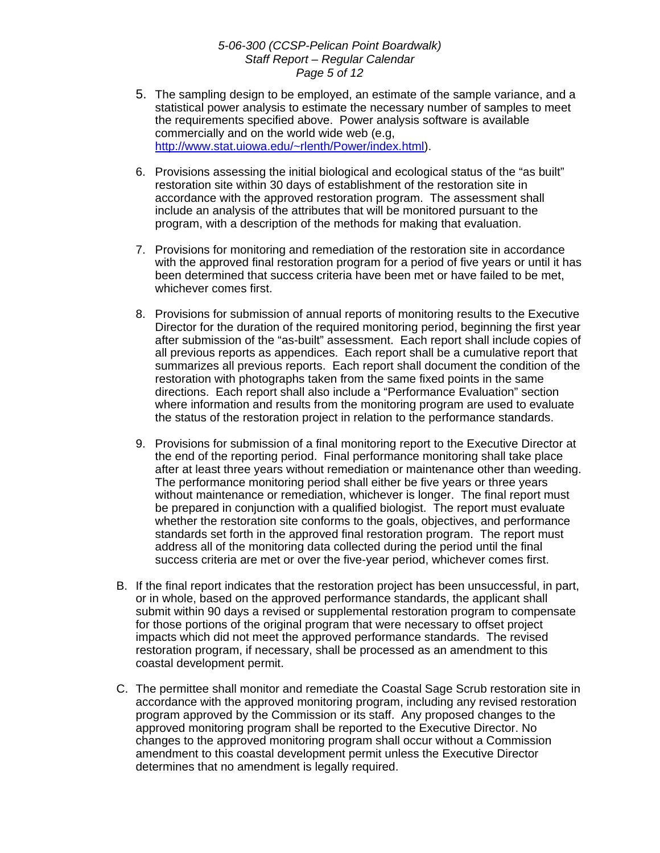#### *5-06-300 (CCSP-Pelican Point Boardwalk) Staff Report – Regular Calendar Page 5 of 12*

- 5. The sampling design to be employed, an estimate of the sample variance, and a statistical power analysis to estimate the necessary number of samples to meet the requirements specified above. Power analysis software is available commercially and on the world wide web (e.g, [http://www.stat.uiowa.edu/~rlenth/Power/index.html\)](http://www.stat.uiowa.edu/~rlenth/Power/index.html).
- 6. Provisions assessing the initial biological and ecological status of the "as built" restoration site within 30 days of establishment of the restoration site in accordance with the approved restoration program. The assessment shall include an analysis of the attributes that will be monitored pursuant to the program, with a description of the methods for making that evaluation.
- 7. Provisions for monitoring and remediation of the restoration site in accordance with the approved final restoration program for a period of five years or until it has been determined that success criteria have been met or have failed to be met, whichever comes first.
- 8. Provisions for submission of annual reports of monitoring results to the Executive Director for the duration of the required monitoring period, beginning the first year after submission of the "as-built" assessment. Each report shall include copies of all previous reports as appendices. Each report shall be a cumulative report that summarizes all previous reports. Each report shall document the condition of the restoration with photographs taken from the same fixed points in the same directions. Each report shall also include a "Performance Evaluation" section where information and results from the monitoring program are used to evaluate the status of the restoration project in relation to the performance standards.
- 9. Provisions for submission of a final monitoring report to the Executive Director at the end of the reporting period. Final performance monitoring shall take place after at least three years without remediation or maintenance other than weeding. The performance monitoring period shall either be five years or three years without maintenance or remediation, whichever is longer. The final report must be prepared in conjunction with a qualified biologist. The report must evaluate whether the restoration site conforms to the goals, objectives, and performance standards set forth in the approved final restoration program. The report must address all of the monitoring data collected during the period until the final success criteria are met or over the five-year period, whichever comes first.
- B. If the final report indicates that the restoration project has been unsuccessful, in part, or in whole, based on the approved performance standards, the applicant shall submit within 90 days a revised or supplemental restoration program to compensate for those portions of the original program that were necessary to offset project impacts which did not meet the approved performance standards. The revised restoration program, if necessary, shall be processed as an amendment to this coastal development permit.
- C. The permittee shall monitor and remediate the Coastal Sage Scrub restoration site in accordance with the approved monitoring program, including any revised restoration program approved by the Commission or its staff. Any proposed changes to the approved monitoring program shall be reported to the Executive Director. No changes to the approved monitoring program shall occur without a Commission amendment to this coastal development permit unless the Executive Director determines that no amendment is legally required.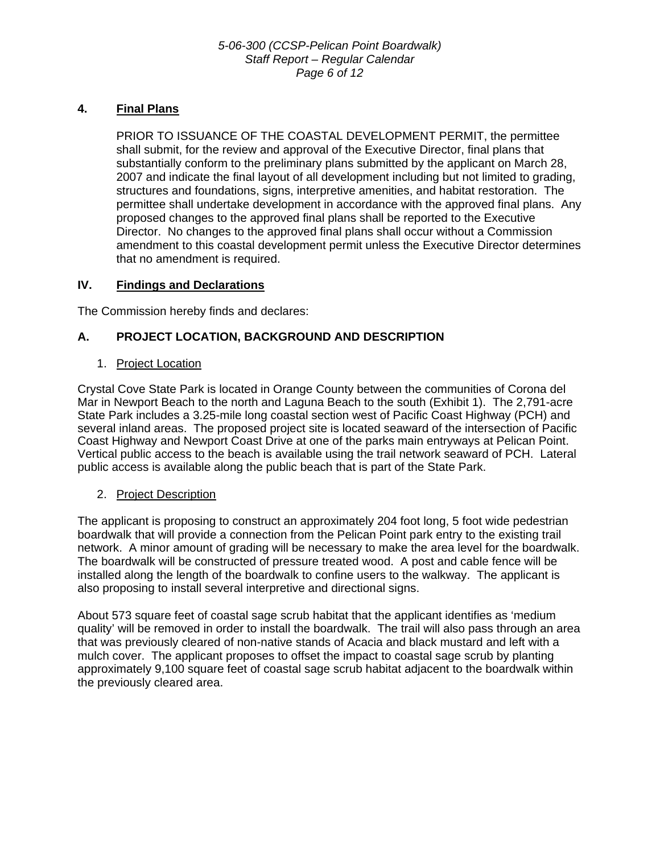# **4. Final Plans**

<span id="page-5-0"></span>PRIOR TO ISSUANCE OF THE COASTAL DEVELOPMENT PERMIT, the permittee shall submit, for the review and approval of the Executive Director, final plans that substantially conform to the preliminary plans submitted by the applicant on March 28, 2007 and indicate the final layout of all development including but not limited to grading, structures and foundations, signs, interpretive amenities, and habitat restoration. The permittee shall undertake development in accordance with the approved final plans. Any proposed changes to the approved final plans shall be reported to the Executive Director. No changes to the approved final plans shall occur without a Commission amendment to this coastal development permit unless the Executive Director determines that no amendment is required.

# **IV. Findings and Declarations**

The Commission hereby finds and declares:

# **A. PROJECT LOCATION, BACKGROUND AND DESCRIPTION**

## 1. Project Location

Crystal Cove State Park is located in Orange County between the communities of Corona del Mar in Newport Beach to the north and Laguna Beach to the south (Exhibit 1). The 2,791-acre State Park includes a 3.25-mile long coastal section west of Pacific Coast Highway (PCH) and several inland areas. The proposed project site is located seaward of the intersection of Pacific Coast Highway and Newport Coast Drive at one of the parks main entryways at Pelican Point. Vertical public access to the beach is available using the trail network seaward of PCH. Lateral public access is available along the public beach that is part of the State Park.

# 2. Project Description

The applicant is proposing to construct an approximately 204 foot long, 5 foot wide pedestrian boardwalk that will provide a connection from the Pelican Point park entry to the existing trail network. A minor amount of grading will be necessary to make the area level for the boardwalk. The boardwalk will be constructed of pressure treated wood. A post and cable fence will be installed along the length of the boardwalk to confine users to the walkway. The applicant is also proposing to install several interpretive and directional signs.

About 573 square feet of coastal sage scrub habitat that the applicant identifies as 'medium quality' will be removed in order to install the boardwalk. The trail will also pass through an area that was previously cleared of non-native stands of Acacia and black mustard and left with a mulch cover. The applicant proposes to offset the impact to coastal sage scrub by planting approximately 9,100 square feet of coastal sage scrub habitat adjacent to the boardwalk within the previously cleared area.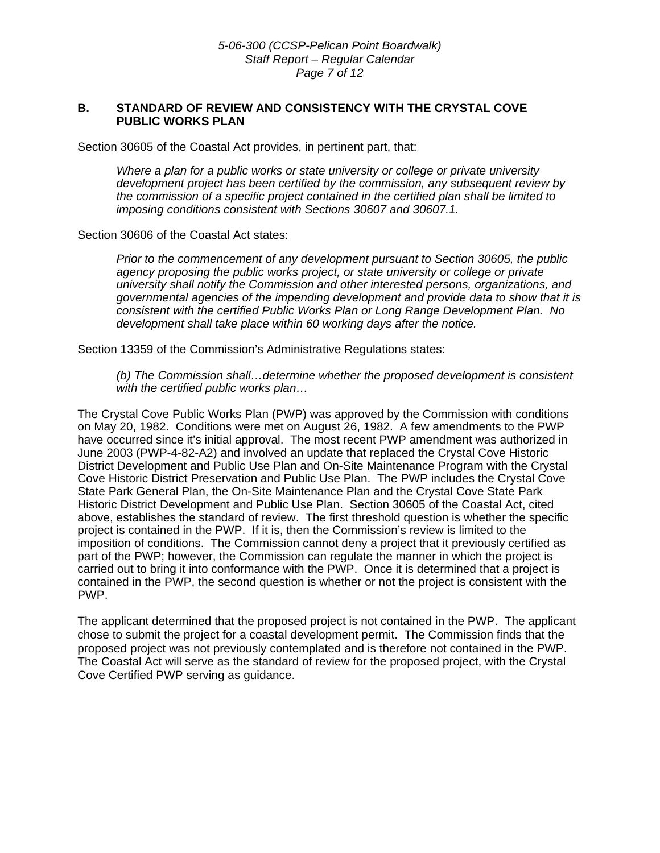#### **B. STANDARD OF REVIEW AND CONSISTENCY WITH THE CRYSTAL COVE PUBLIC WORKS PLAN**

Section 30605 of the Coastal Act provides, in pertinent part, that:

*Where a plan for a public works or state university or college or private university development project has been certified by the commission, any subsequent review by the commission of a specific project contained in the certified plan shall be limited to imposing conditions consistent with Sections 30607 and 30607.1.* 

Section 30606 of the Coastal Act states:

*Prior to the commencement of any development pursuant to Section 30605, the public agency proposing the public works project, or state university or college or private university shall notify the Commission and other interested persons, organizations, and governmental agencies of the impending development and provide data to show that it is consistent with the certified Public Works Plan or Long Range Development Plan. No development shall take place within 60 working days after the notice.* 

Section 13359 of the Commission's Administrative Regulations states:

 *(b) The Commission shall…determine whether the proposed development is consistent with the certified public works plan…* 

The Crystal Cove Public Works Plan (PWP) was approved by the Commission with conditions on May 20, 1982. Conditions were met on August 26, 1982. A few amendments to the PWP have occurred since it's initial approval. The most recent PWP amendment was authorized in June 2003 (PWP-4-82-A2) and involved an update that replaced the Crystal Cove Historic District Development and Public Use Plan and On-Site Maintenance Program with the Crystal Cove Historic District Preservation and Public Use Plan. The PWP includes the Crystal Cove State Park General Plan, the On-Site Maintenance Plan and the Crystal Cove State Park Historic District Development and Public Use Plan. Section 30605 of the Coastal Act, cited above, establishes the standard of review. The first threshold question is whether the specific project is contained in the PWP. If it is, then the Commission's review is limited to the imposition of conditions. The Commission cannot deny a project that it previously certified as part of the PWP; however, the Commission can regulate the manner in which the project is carried out to bring it into conformance with the PWP. Once it is determined that a project is contained in the PWP, the second question is whether or not the project is consistent with the PWP.

The applicant determined that the proposed project is not contained in the PWP. The applicant chose to submit the project for a coastal development permit. The Commission finds that the proposed project was not previously contemplated and is therefore not contained in the PWP. The Coastal Act will serve as the standard of review for the proposed project, with the Crystal Cove Certified PWP serving as guidance.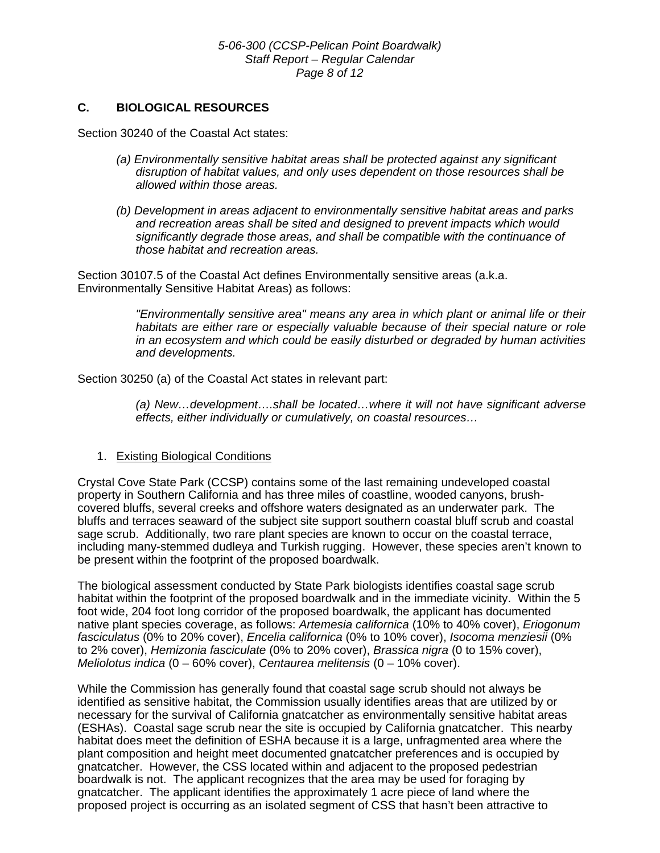# **C. BIOLOGICAL RESOURCES**

Section 30240 of the Coastal Act states:

- *(a) Environmentally sensitive habitat areas shall be protected against any significant disruption of habitat values, and only uses dependent on those resources shall be allowed within those areas.*
- *(b) Development in areas adjacent to environmentally sensitive habitat areas and parks and recreation areas shall be sited and designed to prevent impacts which would significantly degrade those areas, and shall be compatible with the continuance of those habitat and recreation areas.*

Section 30107.5 of the Coastal Act defines Environmentally sensitive areas (a.k.a. Environmentally Sensitive Habitat Areas) as follows:

> *"Environmentally sensitive area" means any area in which plant or animal life or their habitats are either rare or especially valuable because of their special nature or role in an ecosystem and which could be easily disturbed or degraded by human activities and developments.*

Section 30250 (a) of the Coastal Act states in relevant part:

 *(a) New…development….shall be located…where it will not have significant adverse effects, either individually or cumulatively, on coastal resources…* 

#### 1. Existing Biological Conditions

Crystal Cove State Park (CCSP) contains some of the last remaining undeveloped coastal property in Southern California and has three miles of coastline, wooded canyons, brushcovered bluffs, several creeks and offshore waters designated as an underwater park. The bluffs and terraces seaward of the subject site support southern coastal bluff scrub and coastal sage scrub. Additionally, two rare plant species are known to occur on the coastal terrace, including many-stemmed dudleya and Turkish rugging. However, these species aren't known to be present within the footprint of the proposed boardwalk.

The biological assessment conducted by State Park biologists identifies coastal sage scrub habitat within the footprint of the proposed boardwalk and in the immediate vicinity. Within the 5 foot wide, 204 foot long corridor of the proposed boardwalk, the applicant has documented native plant species coverage, as follows: *Artemesia californica* (10% to 40% cover), *Eriogonum fasciculatus* (0% to 20% cover), *Encelia californica* (0% to 10% cover), *Isocoma menziesii* (0% to 2% cover), *Hemizonia fasciculate* (0% to 20% cover), *Brassica nigra* (0 to 15% cover), *Meliolotus indica* (0 – 60% cover), *Centaurea melitensis* (0 – 10% cover).

While the Commission has generally found that coastal sage scrub should not always be identified as sensitive habitat, the Commission usually identifies areas that are utilized by or necessary for the survival of California gnatcatcher as environmentally sensitive habitat areas (ESHAs). Coastal sage scrub near the site is occupied by California gnatcatcher. This nearby habitat does meet the definition of ESHA because it is a large, unfragmented area where the plant composition and height meet documented gnatcatcher preferences and is occupied by gnatcatcher. However, the CSS located within and adjacent to the proposed pedestrian boardwalk is not. The applicant recognizes that the area may be used for foraging by gnatcatcher. The applicant identifies the approximately 1 acre piece of land where the proposed project is occurring as an isolated segment of CSS that hasn't been attractive to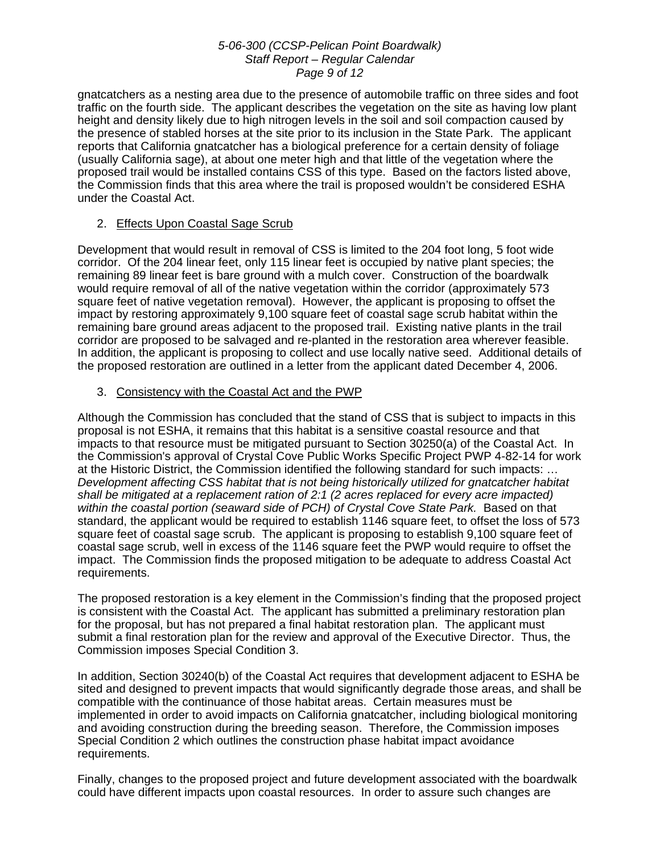#### *5-06-300 (CCSP-Pelican Point Boardwalk) Staff Report – Regular Calendar Page 9 of 12*

gnatcatchers as a nesting area due to the presence of automobile traffic on three sides and foot traffic on the fourth side. The applicant describes the vegetation on the site as having low plant height and density likely due to high nitrogen levels in the soil and soil compaction caused by the presence of stabled horses at the site prior to its inclusion in the State Park. The applicant reports that California gnatcatcher has a biological preference for a certain density of foliage (usually California sage), at about one meter high and that little of the vegetation where the proposed trail would be installed contains CSS of this type. Based on the factors listed above, the Commission finds that this area where the trail is proposed wouldn't be considered ESHA under the Coastal Act.

# 2. Effects Upon Coastal Sage Scrub

Development that would result in removal of CSS is limited to the 204 foot long, 5 foot wide corridor. Of the 204 linear feet, only 115 linear feet is occupied by native plant species; the remaining 89 linear feet is bare ground with a mulch cover. Construction of the boardwalk would require removal of all of the native vegetation within the corridor (approximately 573 square feet of native vegetation removal). However, the applicant is proposing to offset the impact by restoring approximately 9,100 square feet of coastal sage scrub habitat within the remaining bare ground areas adjacent to the proposed trail. Existing native plants in the trail corridor are proposed to be salvaged and re-planted in the restoration area wherever feasible. In addition, the applicant is proposing to collect and use locally native seed. Additional details of the proposed restoration are outlined in a letter from the applicant dated December 4, 2006.

## 3. Consistency with the Coastal Act and the PWP

Although the Commission has concluded that the stand of CSS that is subject to impacts in this proposal is not ESHA, it remains that this habitat is a sensitive coastal resource and that impacts to that resource must be mitigated pursuant to Section 30250(a) of the Coastal Act. In the Commission's approval of Crystal Cove Public Works Specific Project PWP 4-82-14 for work at the Historic District, the Commission identified the following standard for such impacts: … *Development affecting CSS habitat that is not being historically utilized for gnatcatcher habitat shall be mitigated at a replacement ration of 2:1 (2 acres replaced for every acre impacted) within the coastal portion (seaward side of PCH) of Crystal Cove State Park.* Based on that standard, the applicant would be required to establish 1146 square feet, to offset the loss of 573 square feet of coastal sage scrub. The applicant is proposing to establish 9,100 square feet of coastal sage scrub, well in excess of the 1146 square feet the PWP would require to offset the impact. The Commission finds the proposed mitigation to be adequate to address Coastal Act requirements.

The proposed restoration is a key element in the Commission's finding that the proposed project is consistent with the Coastal Act. The applicant has submitted a preliminary restoration plan for the proposal, but has not prepared a final habitat restoration plan. The applicant must submit a final restoration plan for the review and approval of the Executive Director. Thus, the Commission imposes Special Condition [3.](#page-3-0)

In addition, Section 30240(b) of the Coastal Act requires that development adjacent to ESHA be sited and designed to prevent impacts that would significantly degrade those areas, and shall be compatible with the continuance of those habitat areas. Certain measures must be implemented in order to avoid impacts on California gnatcatcher, including biological monitoring and avoiding construction during the breeding season. Therefore, the Commission imposes Special Condition [2](#page-2-0) which outlines the construction phase habitat impact avoidance requirements.

Finally, changes to the proposed project and future development associated with the boardwalk could have different impacts upon coastal resources. In order to assure such changes are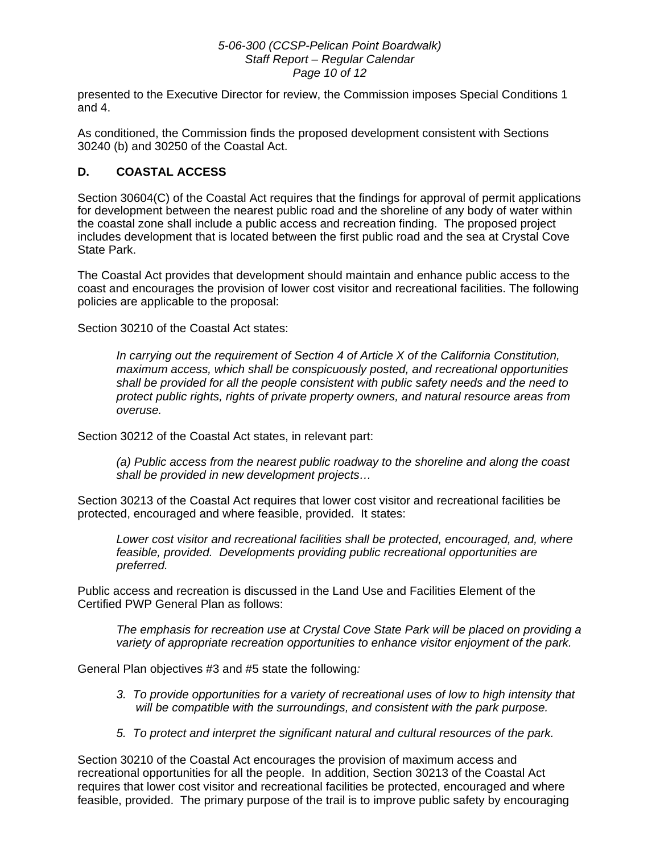#### *5-06-300 (CCSP-Pelican Point Boardwalk) Staff Report – Regular Calendar Page 10 of 12*

presented to the Executive Director for review, the Commission imposes Special Conditions [1](#page-2-1)  and [4.](#page-5-0)

As conditioned, the Commission finds the proposed development consistent with Sections 30240 (b) and 30250 of the Coastal Act.

# **D. COASTAL ACCESS**

Section 30604(C) of the Coastal Act requires that the findings for approval of permit applications for development between the nearest public road and the shoreline of any body of water within the coastal zone shall include a public access and recreation finding. The proposed project includes development that is located between the first public road and the sea at Crystal Cove State Park.

The Coastal Act provides that development should maintain and enhance public access to the coast and encourages the provision of lower cost visitor and recreational facilities. The following policies are applicable to the proposal:

Section 30210 of the Coastal Act states:

*In carrying out the requirement of Section 4 of Article X of the California Constitution, maximum access, which shall be conspicuously posted, and recreational opportunities shall be provided for all the people consistent with public safety needs and the need to protect public rights, rights of private property owners, and natural resource areas from overuse.* 

Section 30212 of the Coastal Act states, in relevant part:

*(a) Public access from the nearest public roadway to the shoreline and along the coast shall be provided in new development projects…* 

Section 30213 of the Coastal Act requires that lower cost visitor and recreational facilities be protected, encouraged and where feasible, provided. It states:

*Lower cost visitor and recreational facilities shall be protected, encouraged, and, where feasible, provided. Developments providing public recreational opportunities are preferred.* 

Public access and recreation is discussed in the Land Use and Facilities Element of the Certified PWP General Plan as follows:

*The emphasis for recreation use at Crystal Cove State Park will be placed on providing a variety of appropriate recreation opportunities to enhance visitor enjoyment of the park.* 

General Plan objectives #3 and #5 state the following*:* 

- *3. To provide opportunities for a variety of recreational uses of low to high intensity that will be compatible with the surroundings, and consistent with the park purpose.*
- *5. To protect and interpret the significant natural and cultural resources of the park.*

Section 30210 of the Coastal Act encourages the provision of maximum access and recreational opportunities for all the people. In addition, Section 30213 of the Coastal Act requires that lower cost visitor and recreational facilities be protected, encouraged and where feasible, provided. The primary purpose of the trail is to improve public safety by encouraging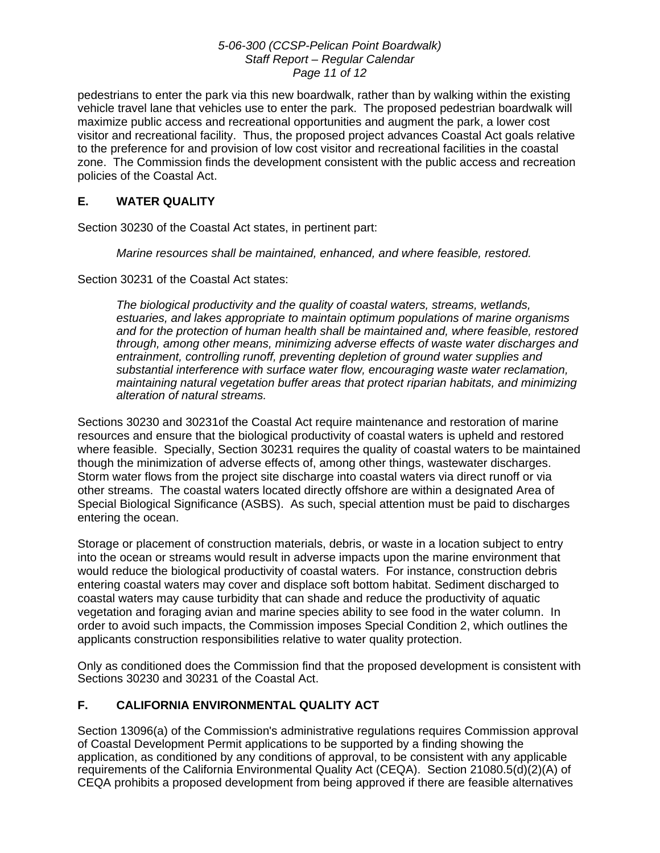### *5-06-300 (CCSP-Pelican Point Boardwalk) Staff Report – Regular Calendar Page 11 of 12*

pedestrians to enter the park via this new boardwalk, rather than by walking within the existing vehicle travel lane that vehicles use to enter the park. The proposed pedestrian boardwalk will maximize public access and recreational opportunities and augment the park, a lower cost visitor and recreational facility. Thus, the proposed project advances Coastal Act goals relative to the preference for and provision of low cost visitor and recreational facilities in the coastal zone. The Commission finds the development consistent with the public access and recreation policies of the Coastal Act.

# **E. WATER QUALITY**

Section 30230 of the Coastal Act states, in pertinent part:

*Marine resources shall be maintained, enhanced, and where feasible, restored.* 

Section 30231 of the Coastal Act states:

*The biological productivity and the quality of coastal waters, streams, wetlands, estuaries, and lakes appropriate to maintain optimum populations of marine organisms and for the protection of human health shall be maintained and, where feasible, restored through, among other means, minimizing adverse effects of waste water discharges and entrainment, controlling runoff, preventing depletion of ground water supplies and substantial interference with surface water flow, encouraging waste water reclamation, maintaining natural vegetation buffer areas that protect riparian habitats, and minimizing alteration of natural streams.* 

Sections 30230 and 30231of the Coastal Act require maintenance and restoration of marine resources and ensure that the biological productivity of coastal waters is upheld and restored where feasible. Specially, Section 30231 requires the quality of coastal waters to be maintained though the minimization of adverse effects of, among other things, wastewater discharges. Storm water flows from the project site discharge into coastal waters via direct runoff or via other streams. The coastal waters located directly offshore are within a designated Area of Special Biological Significance (ASBS). As such, special attention must be paid to discharges entering the ocean.

Storage or placement of construction materials, debris, or waste in a location subject to entry into the ocean or streams would result in adverse impacts upon the marine environment that would reduce the biological productivity of coastal waters. For instance, construction debris entering coastal waters may cover and displace soft bottom habitat. Sediment discharged to coastal waters may cause turbidity that can shade and reduce the productivity of aquatic vegetation and foraging avian and marine species ability to see food in the water column. In order to avoid such impacts, the Commission imposes Special Condition [2,](#page-2-0) which outlines the applicants construction responsibilities relative to water quality protection.

Only as conditioned does the Commission find that the proposed development is consistent with Sections 30230 and 30231 of the Coastal Act.

# **F. CALIFORNIA ENVIRONMENTAL QUALITY ACT**

Section 13096(a) of the Commission's administrative regulations requires Commission approval of Coastal Development Permit applications to be supported by a finding showing the application, as conditioned by any conditions of approval, to be consistent with any applicable requirements of the California Environmental Quality Act (CEQA). Section 21080.5(d)(2)(A) of CEQA prohibits a proposed development from being approved if there are feasible alternatives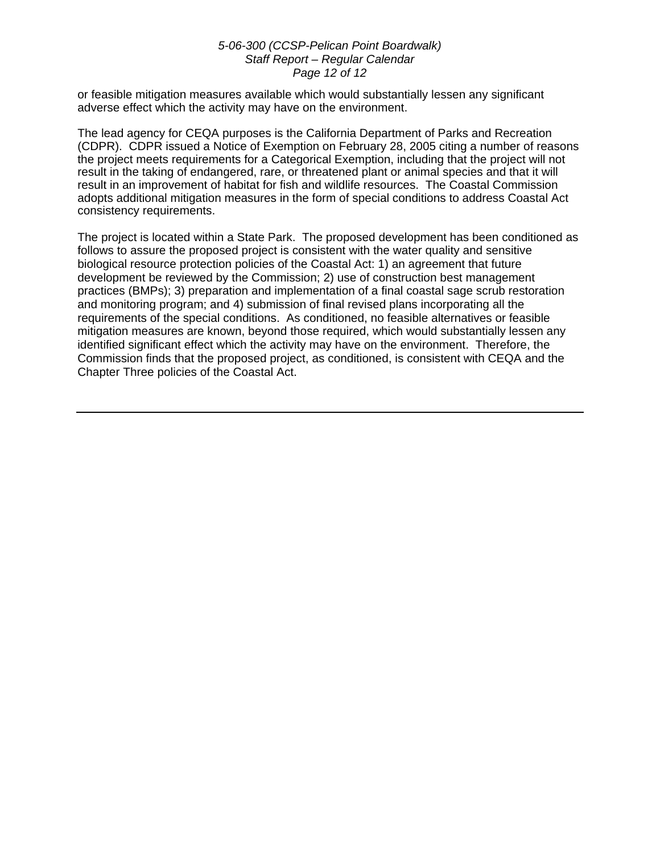#### *5-06-300 (CCSP-Pelican Point Boardwalk) Staff Report – Regular Calendar Page 12 of 12*

or feasible mitigation measures available which would substantially lessen any significant adverse effect which the activity may have on the environment.

The lead agency for CEQA purposes is the California Department of Parks and Recreation (CDPR). CDPR issued a Notice of Exemption on February 28, 2005 citing a number of reasons the project meets requirements for a Categorical Exemption, including that the project will not result in the taking of endangered, rare, or threatened plant or animal species and that it will result in an improvement of habitat for fish and wildlife resources. The Coastal Commission adopts additional mitigation measures in the form of special conditions to address Coastal Act consistency requirements.

The project is located within a State Park. The proposed development has been conditioned as follows to assure the proposed project is consistent with the water quality and sensitive biological resource protection policies of the Coastal Act: 1) an agreement that future development be reviewed by the Commission; 2) use of construction best management practices (BMPs); 3) preparation and implementation of a final coastal sage scrub restoration and monitoring program; and 4) submission of final revised plans incorporating all the requirements of the special conditions. As conditioned, no feasible alternatives or feasible mitigation measures are known, beyond those required, which would substantially lessen any identified significant effect which the activity may have on the environment. Therefore, the Commission finds that the proposed project, as conditioned, is consistent with CEQA and the Chapter Three policies of the Coastal Act.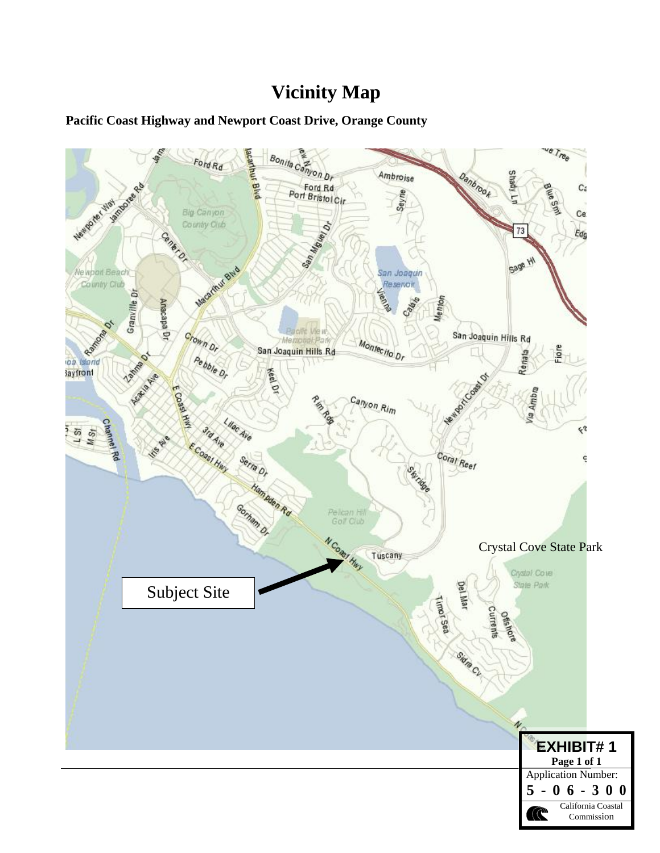# **Vicinity Map**

# **Pacific Coast Highway and Newport Coast Drive, Orange County**

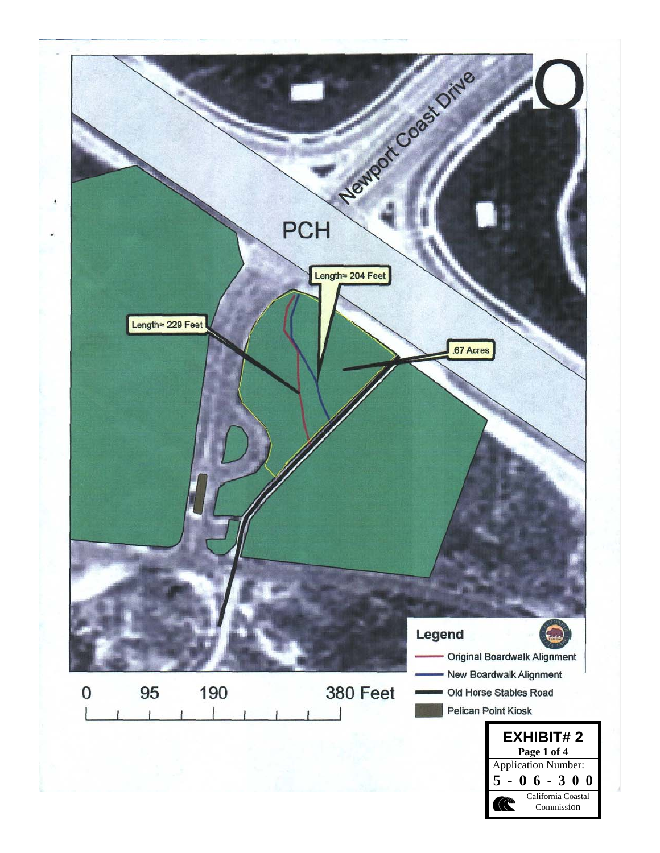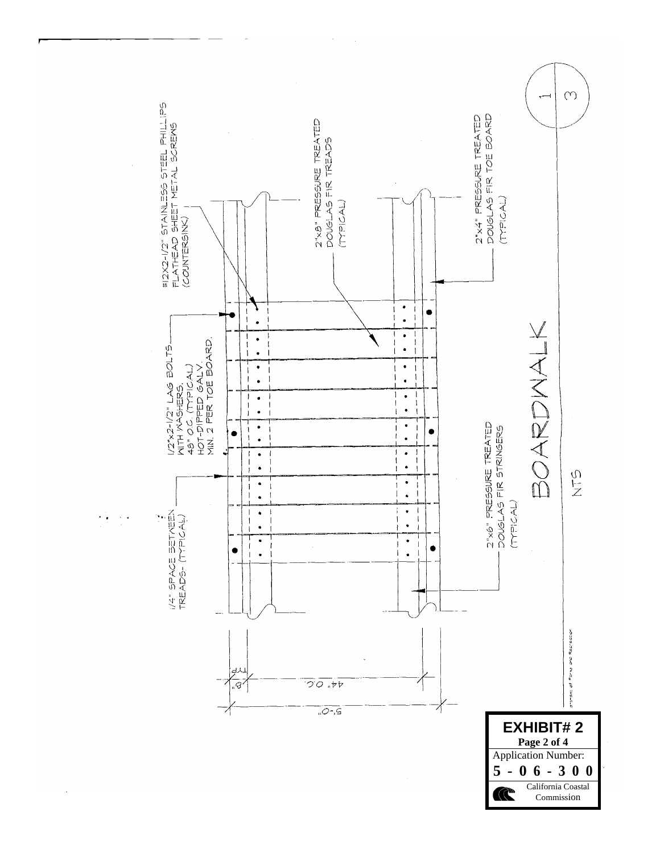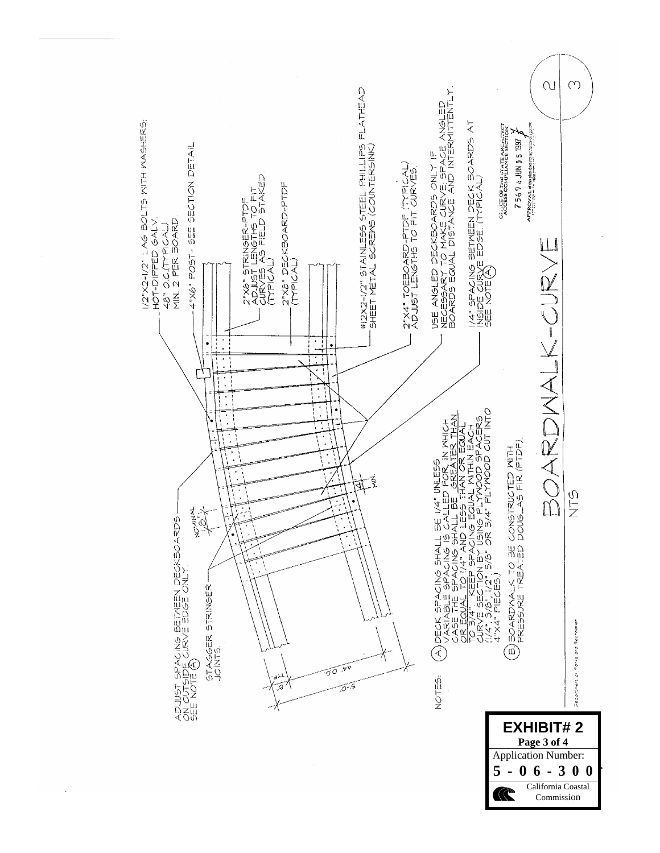